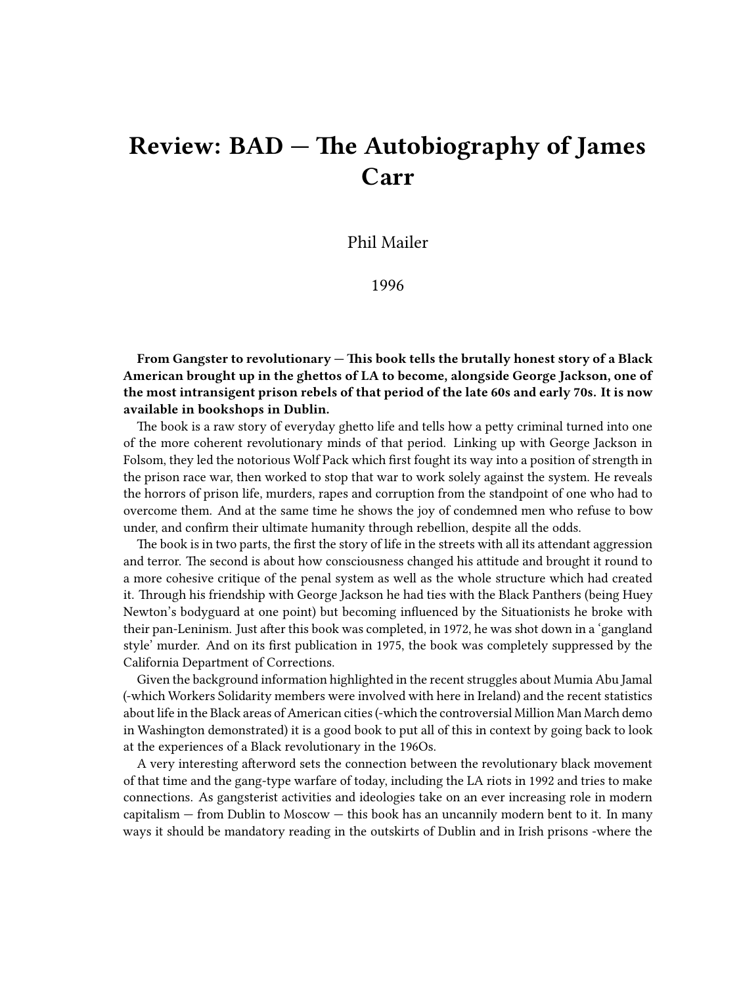## **Review: BAD — The Autobiography of James Carr**

Phil Mailer

1996

**From Gangster to revolutionary — This book tells the brutally honest story of a Black American brought up in the ghettos of LA to become, alongside George Jackson, one of the most intransigent prison rebels of that period of the late 60s and early 70s. It is now available in bookshops in Dublin.**

The book is a raw story of everyday ghetto life and tells how a petty criminal turned into one of the more coherent revolutionary minds of that period. Linking up with George Jackson in Folsom, they led the notorious Wolf Pack which first fought its way into a position of strength in the prison race war, then worked to stop that war to work solely against the system. He reveals the horrors of prison life, murders, rapes and corruption from the standpoint of one who had to overcome them. And at the same time he shows the joy of condemned men who refuse to bow under, and confirm their ultimate humanity through rebellion, despite all the odds.

The book is in two parts, the first the story of life in the streets with all its attendant aggression and terror. The second is about how consciousness changed his attitude and brought it round to a more cohesive critique of the penal system as well as the whole structure which had created it. Through his friendship with George Jackson he had ties with the Black Panthers (being Huey Newton's bodyguard at one point) but becoming influenced by the Situationists he broke with their pan-Leninism. Just after this book was completed, in 1972, he was shot down in a 'gangland style' murder. And on its first publication in 1975, the book was completely suppressed by the California Department of Corrections.

Given the background information highlighted in the recent struggles about Mumia Abu Jamal (-which Workers Solidarity members were involved with here in Ireland) and the recent statistics about life in the Black areas of American cities (-which the controversial Million Man March demo in Washington demonstrated) it is a good book to put all of this in context by going back to look at the experiences of a Black revolutionary in the 196Os.

A very interesting afterword sets the connection between the revolutionary black movement of that time and the gang-type warfare of today, including the LA riots in 1992 and tries to make connections. As gangsterist activities and ideologies take on an ever increasing role in modern capitalism — from Dublin to Moscow — this book has an uncannily modern bent to it. In many ways it should be mandatory reading in the outskirts of Dublin and in Irish prisons -where the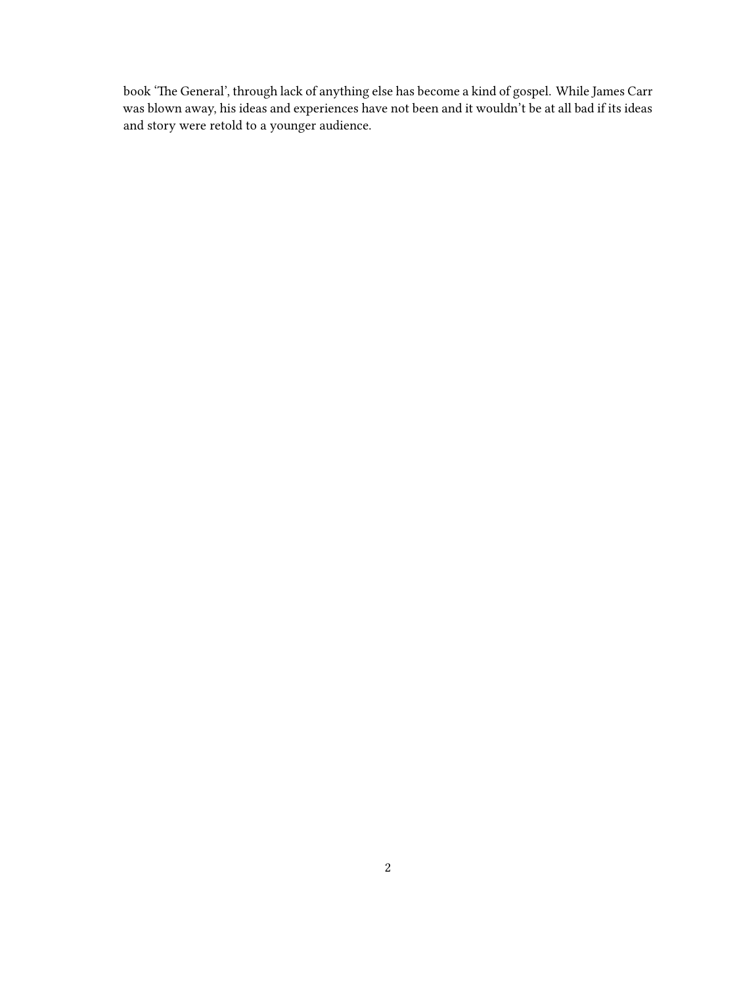book 'The General', through lack of anything else has become a kind of gospel. While James Carr was blown away, his ideas and experiences have not been and it wouldn't be at all bad if its ideas and story were retold to a younger audience.